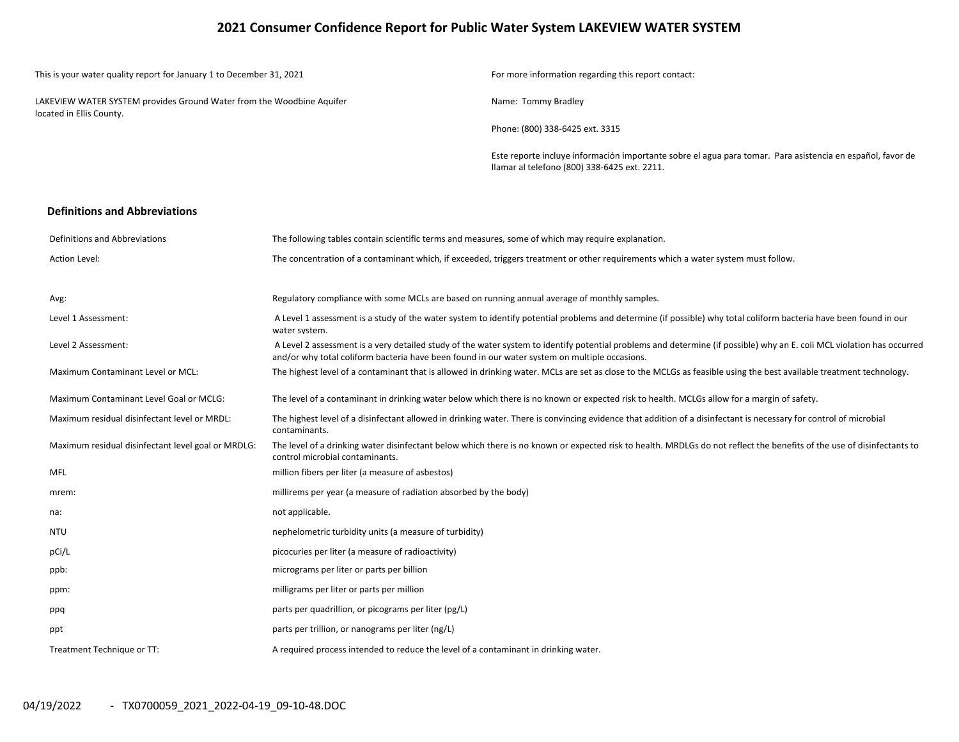## **2021 Consumer Confidence Report for Public Water System LAKEVIEW WATER SYSTEM**

| This is your water quality report for January 1 to December 31, 2021                              | For more information regarding this report contact:                                                                                                        |
|---------------------------------------------------------------------------------------------------|------------------------------------------------------------------------------------------------------------------------------------------------------------|
| LAKEVIEW WATER SYSTEM provides Ground Water from the Woodbine Aquifer<br>located in Ellis County. | Name: Tommy Bradley                                                                                                                                        |
|                                                                                                   | Phone: (800) 338-6425 ext. 3315                                                                                                                            |
|                                                                                                   | Este reporte incluye información importante sobre el agua para tomar. Para asistencia en español, favor de<br>Ilamar al telefono (800) 338-6425 ext. 2211. |

#### **Definitions and Abbreviations**

| Definitions and Abbreviations                      | The following tables contain scientific terms and measures, some of which may require explanation.                                                                                                                                                                      |
|----------------------------------------------------|-------------------------------------------------------------------------------------------------------------------------------------------------------------------------------------------------------------------------------------------------------------------------|
| <b>Action Level:</b>                               | The concentration of a contaminant which, if exceeded, triggers treatment or other requirements which a water system must follow.                                                                                                                                       |
|                                                    |                                                                                                                                                                                                                                                                         |
| Avg:                                               | Regulatory compliance with some MCLs are based on running annual average of monthly samples.                                                                                                                                                                            |
| Level 1 Assessment:                                | A Level 1 assessment is a study of the water system to identify potential problems and determine (if possible) why total coliform bacteria have been found in our<br>water system.                                                                                      |
| Level 2 Assessment:                                | A Level 2 assessment is a very detailed study of the water system to identify potential problems and determine (if possible) why an E. coli MCL violation has occurred<br>and/or why total coliform bacteria have been found in our water system on multiple occasions. |
| Maximum Contaminant Level or MCL:                  | The highest level of a contaminant that is allowed in drinking water. MCLs are set as close to the MCLGs as feasible using the best available treatment technology.                                                                                                     |
| Maximum Contaminant Level Goal or MCLG:            | The level of a contaminant in drinking water below which there is no known or expected risk to health. MCLGs allow for a margin of safety.                                                                                                                              |
| Maximum residual disinfectant level or MRDL:       | The highest level of a disinfectant allowed in drinking water. There is convincing evidence that addition of a disinfectant is necessary for control of microbial<br>contaminants.                                                                                      |
| Maximum residual disinfectant level goal or MRDLG: | The level of a drinking water disinfectant below which there is no known or expected risk to health. MRDLGs do not reflect the benefits of the use of disinfectants to<br>control microbial contaminants.                                                               |
| <b>MFL</b>                                         | million fibers per liter (a measure of asbestos)                                                                                                                                                                                                                        |
| mrem:                                              | millirems per year (a measure of radiation absorbed by the body)                                                                                                                                                                                                        |
| na:                                                | not applicable.                                                                                                                                                                                                                                                         |
| <b>NTU</b>                                         | nephelometric turbidity units (a measure of turbidity)                                                                                                                                                                                                                  |
| pCi/L                                              | picocuries per liter (a measure of radioactivity)                                                                                                                                                                                                                       |
| ppb:                                               | micrograms per liter or parts per billion                                                                                                                                                                                                                               |
| ppm:                                               | milligrams per liter or parts per million                                                                                                                                                                                                                               |
| ppq                                                | parts per quadrillion, or picograms per liter (pg/L)                                                                                                                                                                                                                    |
| ppt                                                | parts per trillion, or nanograms per liter (ng/L)                                                                                                                                                                                                                       |
| Treatment Technique or TT:                         | A required process intended to reduce the level of a contaminant in drinking water.                                                                                                                                                                                     |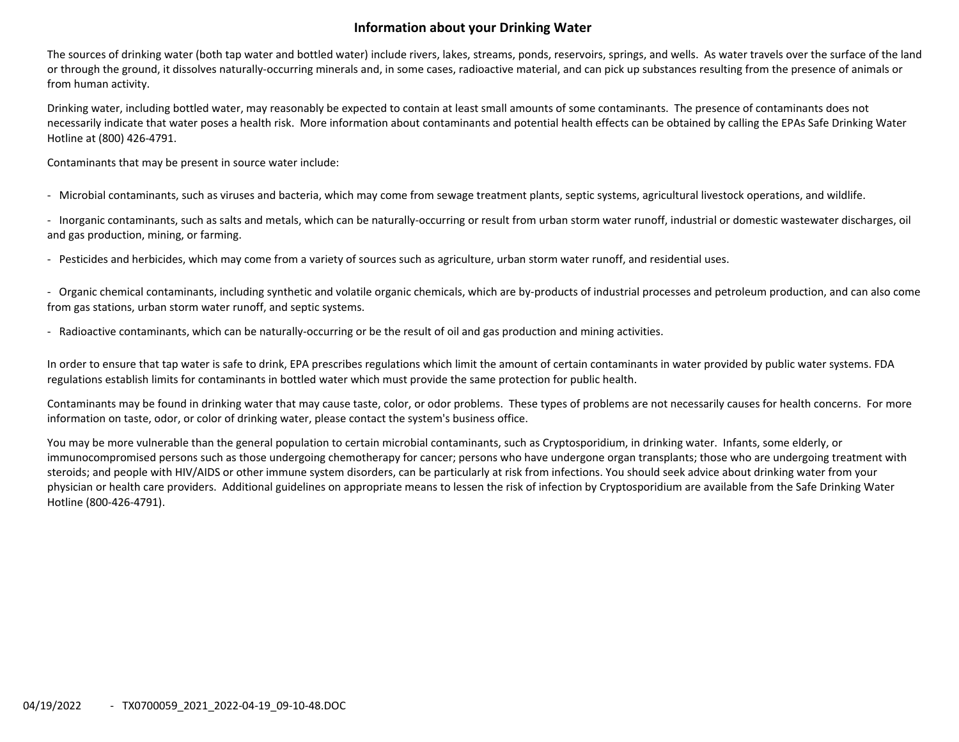## **Information about your Drinking Water**

The sources of drinking water (both tap water and bottled water) include rivers, lakes, streams, ponds, reservoirs, springs, and wells. As water travels over the surface of the land or through the ground, it dissolves naturally‐occurring minerals and, in some cases, radioactive material, and can pick up substances resulting from the presence of animals or from human activity.

Drinking water, including bottled water, may reasonably be expected to contain at least small amounts of some contaminants. The presence of contaminants does not necessarily indicate that water poses <sup>a</sup> health risk. More information about contaminants and potential health effects can be obtained by calling the EPAs Safe Drinking Water Hotline at (800) 426‐4791.

Contaminants that may be present in source water include:

‐ Microbial contaminants, such as viruses and bacteria, which may come from sewage treatment plants, septic systems, agricultural livestock operations, and wildlife.

‐ Inorganic contaminants, such as salts and metals, which can be naturally‐occurring or result from urban storm water runoff, industrial or domestic wastewater discharges, oil and gas production, mining, or farming.

‐ Pesticides and herbicides, which may come from <sup>a</sup> variety of sources such as agriculture, urban storm water runoff, and residential uses.

‐ Organic chemical contaminants, including synthetic and volatile organic chemicals, which are by‐products of industrial processes and petroleum production, and can also come from gas stations, urban storm water runoff, and septic systems.

‐ Radioactive contaminants, which can be naturally‐occurring or be the result of oil and gas production and mining activities.

In order to ensure that tap water is safe to drink, EPA prescribes regulations which limit the amount of certain contaminants in water provided by public water systems. FDA regulations establish limits for contaminants in bottled water which must provide the same protection for public health.

Contaminants may be found in drinking water that may cause taste, color, or odor problems. These types of problems are not necessarily causes for health concerns. For more information on taste, odor, or color of drinking water, please contact the system's business office.

You may be more vulnerable than the general population to certain microbial contaminants, such as Cryptosporidium, in drinking water. Infants, some elderly, or immunocompromised persons such as those undergoing chemotherapy for cancer; persons who have undergone organ transplants; those who are undergoing treatment with steroids; and people with HIV/AIDS or other immune system disorders, can be particularly at risk from infections. You should seek advice about drinking water from your physician or health care providers. Additional guidelines on appropriate means to lessen the risk of infection by Cryptosporidium are available from the Safe Drinking Water Hotline (800‐426‐4791).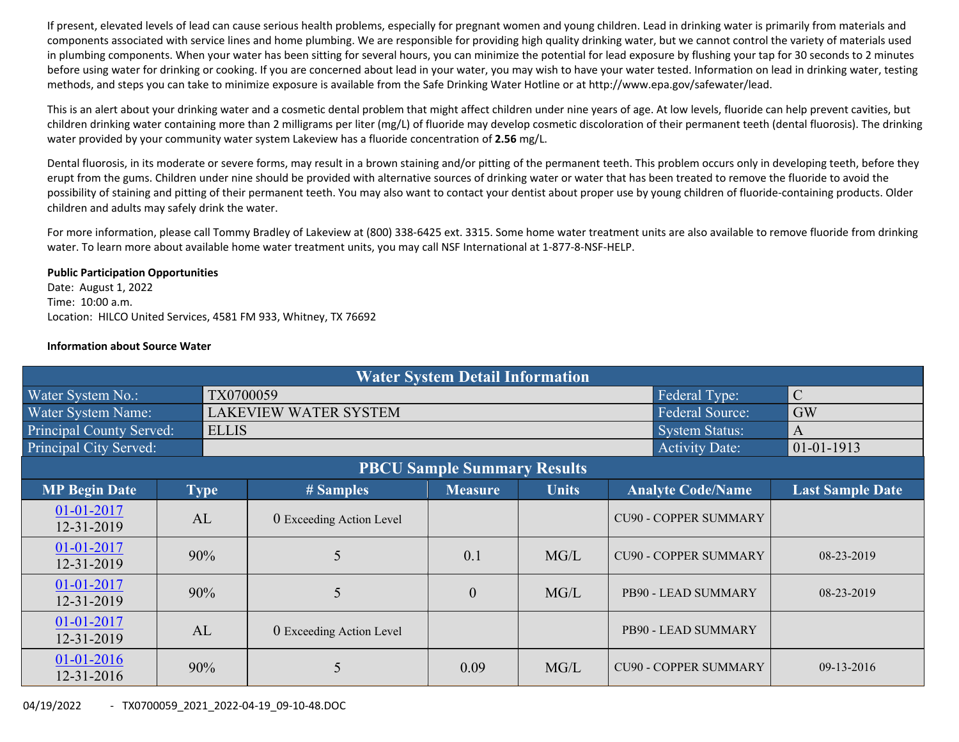If present, elevated levels of lead can cause serious health problems, especially for pregnant women and young children. Lead in drinking water is primarily from materials and components associated with service lines and home plumbing. We are responsible for providing high quality drinking water, but we cannot control the variety of materials used in plumbing components. When your water has been sitting for several hours, you can minimize the potential for lead exposure by flushing your tap for 30 seconds to 2 minutes before using water for drinking or cooking. If you are concerned about lead in your water, you may wish to have your water tested. Information on lead in drinking water, testing methods, and steps you can take to minimize exposure is available from the Safe Drinking Water Hotline or at http://www.epa.gov/safewater/lead.

This is an alert about your drinking water and <sup>a</sup> cosmetic dental problem that might affect children under nine years of age. At low levels, fluoride can help prevent cavities, but children drinking water containing more than 2 milligrams per liter (mg/L) of fluoride may develop cosmetic discoloration of their permanent teeth (dental fluorosis). The drinking water provided by your community water system Lakeview has <sup>a</sup> fluoride concentration of **2.56** mg/L.

Dental fluorosis, in its moderate or severe forms, may result in <sup>a</sup> brown staining and/or pitting of the permanent teeth. This problem occurs only in developing teeth, before they erupt from the gums. Children under nine should be provided with alternative sources of drinking water or water that has been treated to remove the fluoride to avoid the possibility of staining and pitting of their permanent teeth. You may also want to contact your dentist about proper use by young children of fluoride-containing products. Older children and adults may safely drink the water.

For more information, please call Tommy Bradley of Lakeview at (800) 338‐6425 ext. 3315. Some home water treatment units are also available to remove fluoride from drinking water. To learn more about available home water treatment units, you may call NSF International at 1‐877‐8‐NSF‐HELP.

#### **Public Participation Opportunities**

Date: August 1, 2022 Time: 10:00 a.m. Location: HILCO United Services, 4581 FM 933, Whitney, TX 76692

### **Information about Source Water**

| <b>Water System Detail Information</b> |             |              |                              |                |              |                              |                         |  |  |
|----------------------------------------|-------------|--------------|------------------------------|----------------|--------------|------------------------------|-------------------------|--|--|
| Water System No.:                      |             | TX0700059    |                              | $\mathcal{C}$  |              |                              |                         |  |  |
| Water System Name:                     |             |              | <b>LAKEVIEW WATER SYSTEM</b> | <b>GW</b>      |              |                              |                         |  |  |
| <b>Principal County Served:</b>        |             | <b>ELLIS</b> |                              |                |              | System Status:               | $\overline{A}$          |  |  |
| Principal City Served:                 |             |              |                              |                |              | <b>Activity Date:</b>        | $01 - 01 - 1913$        |  |  |
| <b>PBCU Sample Summary Results</b>     |             |              |                              |                |              |                              |                         |  |  |
| <b>MP Begin Date</b>                   | <b>Type</b> |              | # Samples                    | <b>Measure</b> | <b>Units</b> | <b>Analyte Code/Name</b>     | <b>Last Sample Date</b> |  |  |
| 01-01-2017<br>12-31-2019               | AL          |              | 0 Exceeding Action Level     |                |              | <b>CU90 - COPPER SUMMARY</b> |                         |  |  |
| 01-01-2017<br>12-31-2019               | 90%         |              | 5                            | 0.1            | MG/L         | <b>CU90 - COPPER SUMMARY</b> | 08-23-2019              |  |  |
| 01-01-2017<br>12-31-2019               | 90%         |              | 5                            | $\mathbf{0}$   | MG/L         | PB90 - LEAD SUMMARY          | 08-23-2019              |  |  |
| 01-01-2017<br>12-31-2019               | AL          |              | 0 Exceeding Action Level     |                |              | PB90 - LEAD SUMMARY          |                         |  |  |
| 01-01-2016<br>12-31-2016               | 90%         |              | 5                            | 0.09           | MG/L         | <b>CU90 - COPPER SUMMARY</b> | $09-13-2016$            |  |  |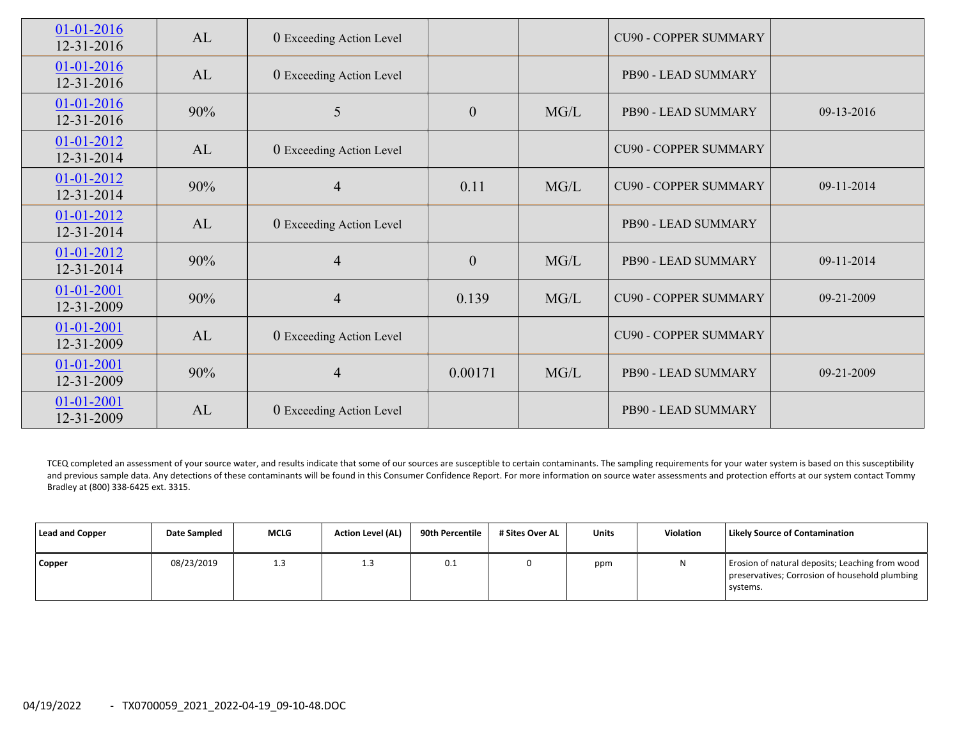| 01-01-2016<br>12-31-2016       | AL  | 0 Exceeding Action Level |                  |      | <b>CU90 - COPPER SUMMARY</b> |            |
|--------------------------------|-----|--------------------------|------------------|------|------------------------------|------------|
| $01 - 01 - 2016$<br>12-31-2016 | AL  | 0 Exceeding Action Level |                  |      | PB90 - LEAD SUMMARY          |            |
| 01-01-2016<br>12-31-2016       | 90% | 5                        | $\overline{0}$   | MG/L | PB90 - LEAD SUMMARY          | 09-13-2016 |
| $01 - 01 - 2012$<br>12-31-2014 | AL  | 0 Exceeding Action Level |                  |      | <b>CU90 - COPPER SUMMARY</b> |            |
| $01 - 01 - 2012$<br>12-31-2014 | 90% | $\overline{4}$           | 0.11             | MG/L | <b>CU90 - COPPER SUMMARY</b> | 09-11-2014 |
| $01 - 01 - 2012$<br>12-31-2014 | AL  | 0 Exceeding Action Level |                  |      | PB90 - LEAD SUMMARY          |            |
| 01-01-2012<br>12-31-2014       | 90% | $\overline{4}$           | $\boldsymbol{0}$ | MG/L | PB90 - LEAD SUMMARY          | 09-11-2014 |
| 01-01-2001<br>12-31-2009       | 90% | $\overline{4}$           | 0.139            | MG/L | <b>CU90 - COPPER SUMMARY</b> | 09-21-2009 |
| $01 - 01 - 2001$<br>12-31-2009 | AL  | 0 Exceeding Action Level |                  |      | <b>CU90 - COPPER SUMMARY</b> |            |
| $01 - 01 - 2001$<br>12-31-2009 | 90% | $\overline{4}$           | 0.00171          | MG/L | PB90 - LEAD SUMMARY          | 09-21-2009 |
| $01 - 01 - 2001$<br>12-31-2009 | AL  | 0 Exceeding Action Level |                  |      | PB90 - LEAD SUMMARY          |            |

TCEQ completed an assessment of your source water, and results indicate that some of our sources are susceptible to certain contaminants. The sampling requirements for your water system is based on this susceptibility and previous sample data. Any detections of these contaminants will be found in this Consumer Confidence Report. For more information on source water assessments and protection efforts at our system contact Tommy Bradley at (800) 338‐6425 ext. 3315.

| Lead and Copper | <b>Date Sampled</b> | <b>MCLG</b> | <b>Action Level (AL)</b> | 90th Percentile | # Sites Over AL | Units | <b>Violation</b> | <b>Likely Source of Contamination</b>                                                                         |
|-----------------|---------------------|-------------|--------------------------|-----------------|-----------------|-------|------------------|---------------------------------------------------------------------------------------------------------------|
| Copper          | 08/23/2019          | 1.3         | 1.3                      | 0.1             |                 | ppm   | N                | Erosion of natural deposits; Leaching from wood<br>preservatives; Corrosion of household plumbing<br>systems. |